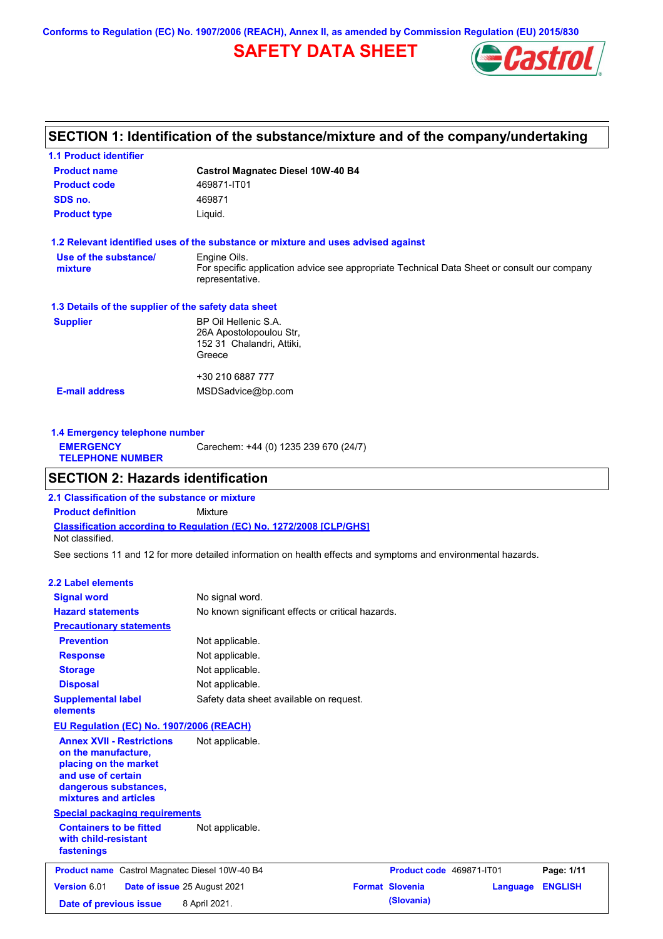**Conforms to Regulation (EC) No. 1907/2006 (REACH), Annex II, as amended by Commission Regulation (EU) 2015/830**

# **SAFETY DATA SHEET**



## **SECTION 1: Identification of the substance/mixture and of the company/undertaking**

| <b>Product name</b>                                  | <b>Castrol Magnatec Diesel 10W-40 B4</b>                                                                       |  |  |
|------------------------------------------------------|----------------------------------------------------------------------------------------------------------------|--|--|
| <b>Product code</b>                                  | 469871-IT01                                                                                                    |  |  |
| SDS no.                                              | 469871                                                                                                         |  |  |
| <b>Product type</b>                                  | Liquid.                                                                                                        |  |  |
|                                                      | 1.2 Relevant identified uses of the substance or mixture and uses advised against                              |  |  |
| Use of the substance/                                | Engine Oils.                                                                                                   |  |  |
| mixture                                              | For specific application advice see appropriate Technical Data Sheet or consult our company<br>representative. |  |  |
| 1.3 Details of the supplier of the safety data sheet |                                                                                                                |  |  |
| <b>Supplier</b>                                      | BP Oil Hellenic S.A.                                                                                           |  |  |
|                                                      | 26A Apostolopoulou Str,                                                                                        |  |  |
|                                                      | 152 31 Chalandri, Attiki,                                                                                      |  |  |
|                                                      | Greece                                                                                                         |  |  |
|                                                      | +30 210 6887 777                                                                                               |  |  |
|                                                      |                                                                                                                |  |  |

**1.4 Emergency telephone number EMERGENCY TELEPHONE NUMBER** Carechem: +44 (0) 1235 239 670 (24/7)

## **SECTION 2: Hazards identification**

**Classification according to Regulation (EC) No. 1272/2008 [CLP/GHS] 2.1 Classification of the substance or mixture Product definition** Mixture Not classified.

See sections 11 and 12 for more detailed information on health effects and symptoms and environmental hazards.

### **2.2 Label elements**

| <b>Signal word</b>                                                                                                                                       | No signal word.                                   |                          |          |                |
|----------------------------------------------------------------------------------------------------------------------------------------------------------|---------------------------------------------------|--------------------------|----------|----------------|
| <b>Hazard statements</b>                                                                                                                                 | No known significant effects or critical hazards. |                          |          |                |
| <b>Precautionary statements</b>                                                                                                                          |                                                   |                          |          |                |
| <b>Prevention</b>                                                                                                                                        | Not applicable.                                   |                          |          |                |
| <b>Response</b>                                                                                                                                          | Not applicable.                                   |                          |          |                |
| <b>Storage</b>                                                                                                                                           | Not applicable.                                   |                          |          |                |
| <b>Disposal</b>                                                                                                                                          | Not applicable.                                   |                          |          |                |
| <b>Supplemental label</b><br>elements                                                                                                                    | Safety data sheet available on request.           |                          |          |                |
| EU Regulation (EC) No. 1907/2006 (REACH)                                                                                                                 |                                                   |                          |          |                |
| <b>Annex XVII - Restrictions</b><br>on the manufacture,<br>placing on the market<br>and use of certain<br>dangerous substances,<br>mixtures and articles | Not applicable.                                   |                          |          |                |
| <b>Special packaging requirements</b>                                                                                                                    |                                                   |                          |          |                |
| <b>Containers to be fitted</b><br>with child-resistant<br>fastenings                                                                                     | Not applicable.                                   |                          |          |                |
| <b>Product name</b> Castrol Magnatec Diesel 10W-40 B4                                                                                                    |                                                   | Product code 469871-IT01 |          | Page: 1/11     |
| Version 6.01                                                                                                                                             | Date of issue 25 August 2021                      | <b>Format Slovenia</b>   | Language | <b>ENGLISH</b> |
| Date of previous issue                                                                                                                                   | 8 April 2021.                                     | (Slovania)               |          |                |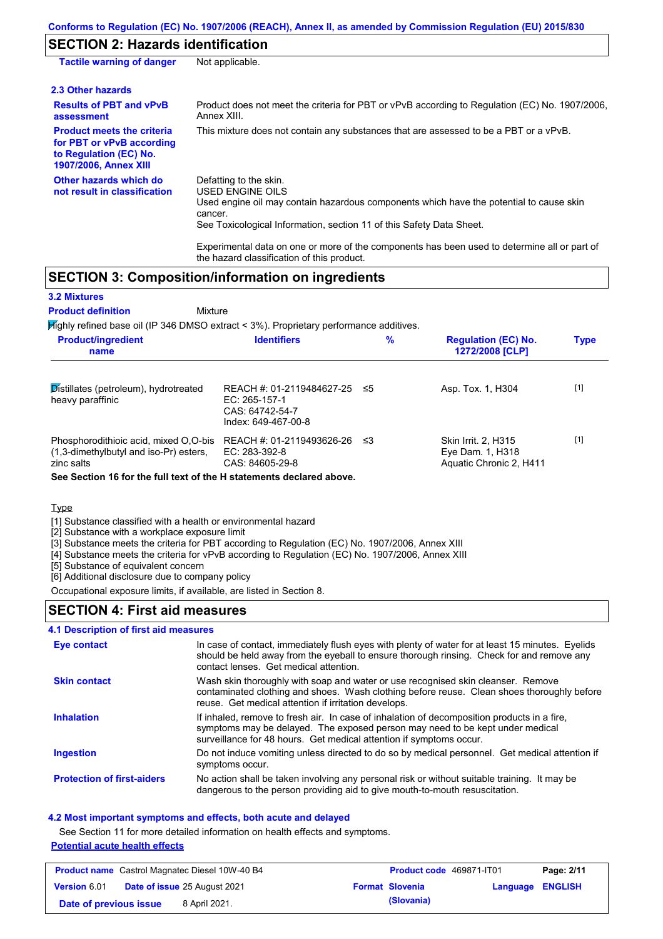## **SECTION 2: Hazards identification**

| Not applicable.                                                                                                                                                                                                                                                                                                          |
|--------------------------------------------------------------------------------------------------------------------------------------------------------------------------------------------------------------------------------------------------------------------------------------------------------------------------|
|                                                                                                                                                                                                                                                                                                                          |
| Product does not meet the criteria for PBT or vPvB according to Regulation (EC) No. 1907/2006,<br>Annex XIII.                                                                                                                                                                                                            |
| This mixture does not contain any substances that are assessed to be a PBT or a vPvB.                                                                                                                                                                                                                                    |
| Defatting to the skin.<br>USED ENGINE OILS<br>Used engine oil may contain hazardous components which have the potential to cause skin<br>cancer.<br>See Toxicological Information, section 11 of this Safety Data Sheet.<br>Experimental data on one or more of the components has been used to determine all or part of |
|                                                                                                                                                                                                                                                                                                                          |

## **SECTION 3: Composition/information on ingredients**

Mixture

### **3.2 Mixtures**

### **Product definition**

Highly refined base oil (IP 346 DMSO extract < 3%). Proprietary performance additives.

the hazard classification of this product.

| <b>Product/ingredient</b><br>name                                                             | <b>Identifiers</b>                                                                     | $\%$ | <b>Regulation (EC) No.</b><br>1272/2008 [CLP]                      | <b>Type</b> |
|-----------------------------------------------------------------------------------------------|----------------------------------------------------------------------------------------|------|--------------------------------------------------------------------|-------------|
| Distillates (petroleum), hydrotreated<br>heavy paraffinic                                     | REACH #: 01-2119484627-25<br>$EC: 265-157-1$<br>CAS: 64742-54-7<br>Index: 649-467-00-8 | -≤5  | Asp. Tox. 1, H304                                                  | $[1]$       |
| Phosphorodithioic acid, mixed O.O-bis<br>(1,3-dimethylbutyl and iso-Pr) esters.<br>zinc salts | REACH #: 01-2119493626-26<br>EC: 283-392-8<br>CAS: 84605-29-8                          | -≤3  | Skin Irrit. 2, H315<br>Eye Dam. 1, H318<br>Aquatic Chronic 2, H411 | $[1]$       |

**See Section 16 for the full text of the H statements declared above.**

### Type

[1] Substance classified with a health or environmental hazard

[2] Substance with a workplace exposure limit

[3] Substance meets the criteria for PBT according to Regulation (EC) No. 1907/2006, Annex XIII

[4] Substance meets the criteria for vPvB according to Regulation (EC) No. 1907/2006, Annex XIII

[5] Substance of equivalent concern

[6] Additional disclosure due to company policy

Occupational exposure limits, if available, are listed in Section 8.

### **SECTION 4: First aid measures**

### **4.1 Description of first aid measures**

| Eye contact                       | In case of contact, immediately flush eyes with plenty of water for at least 15 minutes. Eyelids<br>should be held away from the eyeball to ensure thorough rinsing. Check for and remove any<br>contact lenses. Get medical attention.             |
|-----------------------------------|-----------------------------------------------------------------------------------------------------------------------------------------------------------------------------------------------------------------------------------------------------|
| <b>Skin contact</b>               | Wash skin thoroughly with soap and water or use recognised skin cleanser. Remove<br>contaminated clothing and shoes. Wash clothing before reuse. Clean shoes thoroughly before<br>reuse. Get medical attention if irritation develops.              |
| <b>Inhalation</b>                 | If inhaled, remove to fresh air. In case of inhalation of decomposition products in a fire,<br>symptoms may be delayed. The exposed person may need to be kept under medical<br>surveillance for 48 hours. Get medical attention if symptoms occur. |
| Ingestion                         | Do not induce vomiting unless directed to do so by medical personnel. Get medical attention if<br>symptoms occur.                                                                                                                                   |
| <b>Protection of first-aiders</b> | No action shall be taken involving any personal risk or without suitable training. It may be<br>dangerous to the person providing aid to give mouth-to-mouth resuscitation.                                                                         |

### **4.2 Most important symptoms and effects, both acute and delayed**

See Section 11 for more detailed information on health effects and symptoms.

### **Potential acute health effects**

| <b>Product name</b> Castrol Magnatec Diesel 10W-40 B4 |  | <b>Product code 469871-IT01</b>     |  | Page: 2/11             |                         |  |
|-------------------------------------------------------|--|-------------------------------------|--|------------------------|-------------------------|--|
| <b>Version 6.01</b>                                   |  | <b>Date of issue 25 August 2021</b> |  | <b>Format Slovenia</b> | <b>Language ENGLISH</b> |  |
| Date of previous issue                                |  | 8 April 2021.                       |  | (Slovania)             |                         |  |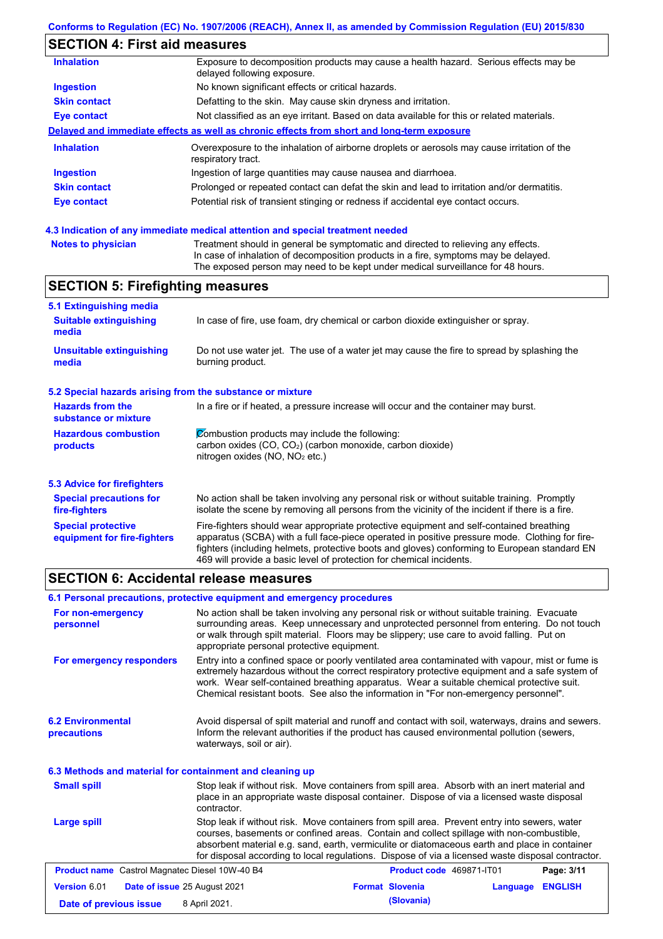# **SECTION 4: First aid measures**

| <b>Inhalation</b>   | Exposure to decomposition products may cause a health hazard. Serious effects may be<br>delayed following exposure. |
|---------------------|---------------------------------------------------------------------------------------------------------------------|
| <b>Ingestion</b>    | No known significant effects or critical hazards.                                                                   |
| <b>Skin contact</b> | Defatting to the skin. May cause skin dryness and irritation.                                                       |
| Eye contact         | Not classified as an eye irritant. Based on data available for this or related materials.                           |
|                     | Delayed and immediate effects as well as chronic effects from short and long-term exposure                          |
| <b>Inhalation</b>   | Overexposure to the inhalation of airborne droplets or aerosols may cause irritation of the<br>respiratory tract.   |
| <b>Ingestion</b>    | Ingestion of large quantities may cause nausea and diarrhoea.                                                       |
| <b>Skin contact</b> | Prolonged or repeated contact can defat the skin and lead to irritation and/or dermatitis.                          |
| Eye contact         | Potential risk of transient stinging or redness if accidental eye contact occurs.                                   |
|                     |                                                                                                                     |

### **4.3 Indication of any immediate medical attention and special treatment needed**

| Notes to physician | Treatment should in general be symptomatic and directed to relieving any effects.   |
|--------------------|-------------------------------------------------------------------------------------|
|                    | In case of inhalation of decomposition products in a fire, symptoms may be delayed. |
|                    | The exposed person may need to be kept under medical surveillance for 48 hours.     |

## **SECTION 5: Firefighting measures**

| 5.1 Extinguishing media                                                                                                                |                                                                                                                                                                                                                                                                                                                                                                   |  |  |
|----------------------------------------------------------------------------------------------------------------------------------------|-------------------------------------------------------------------------------------------------------------------------------------------------------------------------------------------------------------------------------------------------------------------------------------------------------------------------------------------------------------------|--|--|
| <b>Suitable extinguishing</b><br>media                                                                                                 | In case of fire, use foam, dry chemical or carbon dioxide extinguisher or spray.                                                                                                                                                                                                                                                                                  |  |  |
| <b>Unsuitable extinguishing</b><br>media                                                                                               | Do not use water jet. The use of a water jet may cause the fire to spread by splashing the<br>burning product.                                                                                                                                                                                                                                                    |  |  |
| 5.2 Special hazards arising from the substance or mixture                                                                              |                                                                                                                                                                                                                                                                                                                                                                   |  |  |
| <b>Hazards from the</b><br>In a fire or if heated, a pressure increase will occur and the container may burst.<br>substance or mixture |                                                                                                                                                                                                                                                                                                                                                                   |  |  |
| <b>Hazardous combustion</b><br>products                                                                                                | Combustion products may include the following:<br>carbon oxides $(CO, CO2)$ (carbon monoxide, carbon dioxide)<br>nitrogen oxides ( $NO$ , $NO2$ etc.)                                                                                                                                                                                                             |  |  |
| 5.3 Advice for firefighters                                                                                                            |                                                                                                                                                                                                                                                                                                                                                                   |  |  |
| <b>Special precautions for</b><br>fire-fighters                                                                                        | No action shall be taken involving any personal risk or without suitable training. Promptly<br>isolate the scene by removing all persons from the vicinity of the incident if there is a fire.                                                                                                                                                                    |  |  |
| <b>Special protective</b><br>equipment for fire-fighters                                                                               | Fire-fighters should wear appropriate protective equipment and self-contained breathing<br>apparatus (SCBA) with a full face-piece operated in positive pressure mode. Clothing for fire-<br>fighters (including helmets, protective boots and gloves) conforming to European standard EN<br>469 will provide a basic level of protection for chemical incidents. |  |  |

## **SECTION 6: Accidental release measures**

| 6.1 Personal precautions, protective equipment and emergency procedures |                                            |                                                                                                                                                                                                                                                                                                                                                                                                |          |                |  |  |
|-------------------------------------------------------------------------|--------------------------------------------|------------------------------------------------------------------------------------------------------------------------------------------------------------------------------------------------------------------------------------------------------------------------------------------------------------------------------------------------------------------------------------------------|----------|----------------|--|--|
| For non-emergency<br>personnel                                          | appropriate personal protective equipment. | No action shall be taken involving any personal risk or without suitable training. Evacuate<br>surrounding areas. Keep unnecessary and unprotected personnel from entering. Do not touch<br>or walk through spilt material. Floors may be slippery; use care to avoid falling. Put on                                                                                                          |          |                |  |  |
| For emergency responders                                                |                                            | Entry into a confined space or poorly ventilated area contaminated with vapour, mist or fume is<br>extremely hazardous without the correct respiratory protective equipment and a safe system of<br>work. Wear self-contained breathing apparatus. Wear a suitable chemical protective suit.<br>Chemical resistant boots. See also the information in "For non-emergency personnel".           |          |                |  |  |
| <b>6.2 Environmental</b><br>precautions                                 | waterways, soil or air).                   | Avoid dispersal of spilt material and runoff and contact with soil, waterways, drains and sewers.<br>Inform the relevant authorities if the product has caused environmental pollution (sewers,                                                                                                                                                                                                |          |                |  |  |
| 6.3 Methods and material for containment and cleaning up                |                                            |                                                                                                                                                                                                                                                                                                                                                                                                |          |                |  |  |
| <b>Small spill</b>                                                      | contractor.                                | Stop leak if without risk. Move containers from spill area. Absorb with an inert material and<br>place in an appropriate waste disposal container. Dispose of via a licensed waste disposal                                                                                                                                                                                                    |          |                |  |  |
| Large spill                                                             |                                            | Stop leak if without risk. Move containers from spill area. Prevent entry into sewers, water<br>courses, basements or confined areas. Contain and collect spillage with non-combustible,<br>absorbent material e.g. sand, earth, vermiculite or diatomaceous earth and place in container<br>for disposal according to local regulations. Dispose of via a licensed waste disposal contractor. |          |                |  |  |
| <b>Product name</b> Castrol Magnatec Diesel 10W-40 B4                   |                                            | Product code 469871-IT01                                                                                                                                                                                                                                                                                                                                                                       |          | Page: 3/11     |  |  |
| <b>Version 6.01</b>                                                     | Date of issue 25 August 2021               | <b>Format Slovenia</b>                                                                                                                                                                                                                                                                                                                                                                         | Language | <b>ENGLISH</b> |  |  |
| Date of previous issue                                                  | 8 April 2021.                              | (Slovania)                                                                                                                                                                                                                                                                                                                                                                                     |          |                |  |  |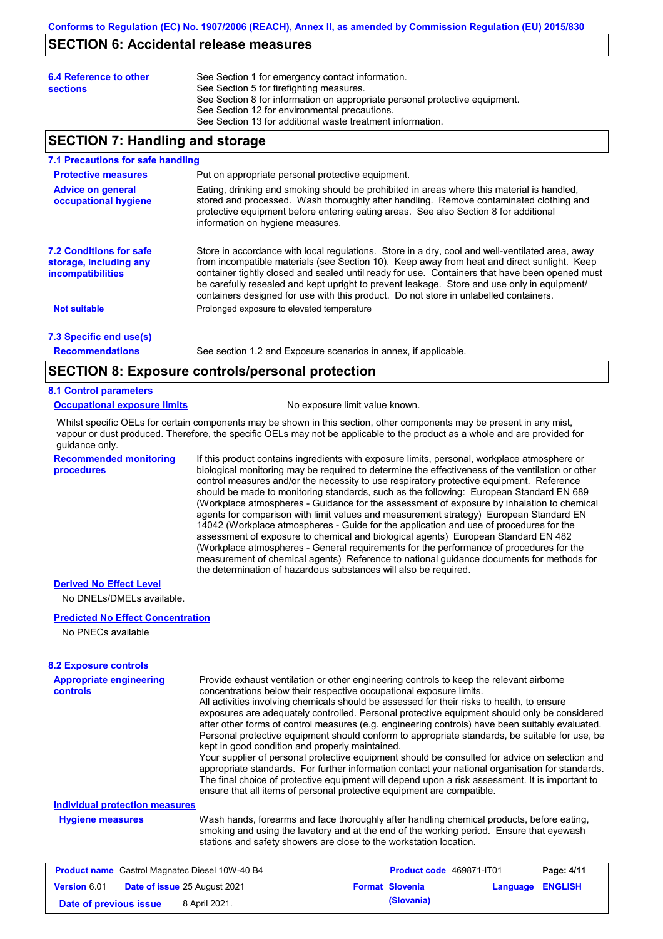### **SECTION 6: Accidental release measures**

| 6.4 Reference to other<br><b>sections</b> | See Section 1 for emergency contact information.<br>See Section 5 for firefighting measures.<br>See Section 8 for information on appropriate personal protective equipment.<br>See Section 12 for environmental precautions.<br>See Section 13 for additional waste treatment information. |
|-------------------------------------------|--------------------------------------------------------------------------------------------------------------------------------------------------------------------------------------------------------------------------------------------------------------------------------------------|
|                                           |                                                                                                                                                                                                                                                                                            |

### **SECTION 7: Handling and storage**

#### **7.1 Precautions for safe handling**

| <b>Protective measures</b><br><b>Advice on general</b><br>occupational hygiene       | Put on appropriate personal protective equipment.<br>Eating, drinking and smoking should be prohibited in areas where this material is handled.<br>stored and processed. Wash thoroughly after handling. Remove contaminated clothing and<br>protective equipment before entering eating areas. See also Section 8 for additional<br>information on hygiene measures.                                                                                                                    |
|--------------------------------------------------------------------------------------|------------------------------------------------------------------------------------------------------------------------------------------------------------------------------------------------------------------------------------------------------------------------------------------------------------------------------------------------------------------------------------------------------------------------------------------------------------------------------------------|
| <b>7.2 Conditions for safe</b><br>storage, including any<br><i>incompatibilities</i> | Store in accordance with local regulations. Store in a dry, cool and well-ventilated area, away<br>from incompatible materials (see Section 10). Keep away from heat and direct sunlight. Keep<br>container tightly closed and sealed until ready for use. Containers that have been opened must<br>be carefully resealed and kept upright to prevent leakage. Store and use only in equipment/<br>containers designed for use with this product. Do not store in unlabelled containers. |
| <b>Not suitable</b>                                                                  | Prolonged exposure to elevated temperature                                                                                                                                                                                                                                                                                                                                                                                                                                               |
| 7.3 Specific end use(s)                                                              |                                                                                                                                                                                                                                                                                                                                                                                                                                                                                          |
| <b>Recommendations</b>                                                               | See section 1.2 and Exposure scenarios in annex, if applicable.                                                                                                                                                                                                                                                                                                                                                                                                                          |

**Recommendations**

## **SECTION 8: Exposure controls/personal protection**

### **8.1 Control parameters**

### **Occupational exposure limits** No exposure limit value known.

Whilst specific OELs for certain components may be shown in this section, other components may be present in any mist, vapour or dust produced. Therefore, the specific OELs may not be applicable to the product as a whole and are provided for guidance only.

**Recommended monitoring procedures** If this product contains ingredients with exposure limits, personal, workplace atmosphere or biological monitoring may be required to determine the effectiveness of the ventilation or other control measures and/or the necessity to use respiratory protective equipment. Reference should be made to monitoring standards, such as the following: European Standard EN 689 (Workplace atmospheres - Guidance for the assessment of exposure by inhalation to chemical agents for comparison with limit values and measurement strategy) European Standard EN 14042 (Workplace atmospheres - Guide for the application and use of procedures for the assessment of exposure to chemical and biological agents) European Standard EN 482 (Workplace atmospheres - General requirements for the performance of procedures for the measurement of chemical agents) Reference to national guidance documents for methods for the determination of hazardous substances will also be required.

### **Derived No Effect Level**

No DNELs/DMELs available.

### **Predicted No Effect Concentration**

No PNECs available

| <b>8.2 Exposure controls</b>                               |                                                                                                                                                                                                                                                             |                                                                                                                                                                                                                                                                                                                                                                                                                                                                                                                                                                                                                                                                                                                                                                                                                                                                                                                                                      |                                 |          |                |
|------------------------------------------------------------|-------------------------------------------------------------------------------------------------------------------------------------------------------------------------------------------------------------------------------------------------------------|------------------------------------------------------------------------------------------------------------------------------------------------------------------------------------------------------------------------------------------------------------------------------------------------------------------------------------------------------------------------------------------------------------------------------------------------------------------------------------------------------------------------------------------------------------------------------------------------------------------------------------------------------------------------------------------------------------------------------------------------------------------------------------------------------------------------------------------------------------------------------------------------------------------------------------------------------|---------------------------------|----------|----------------|
| <b>Appropriate engineering</b><br><b>controls</b>          | kept in good condition and properly maintained.                                                                                                                                                                                                             | Provide exhaust ventilation or other engineering controls to keep the relevant airborne<br>concentrations below their respective occupational exposure limits.<br>All activities involving chemicals should be assessed for their risks to health, to ensure<br>exposures are adequately controlled. Personal protective equipment should only be considered<br>after other forms of control measures (e.g. engineering controls) have been suitably evaluated.<br>Personal protective equipment should conform to appropriate standards, be suitable for use, be<br>Your supplier of personal protective equipment should be consulted for advice on selection and<br>appropriate standards. For further information contact your national organisation for standards.<br>The final choice of protective equipment will depend upon a risk assessment. It is important to<br>ensure that all items of personal protective equipment are compatible. |                                 |          |                |
| <b>Individual protection measures</b>                      |                                                                                                                                                                                                                                                             |                                                                                                                                                                                                                                                                                                                                                                                                                                                                                                                                                                                                                                                                                                                                                                                                                                                                                                                                                      |                                 |          |                |
| <b>Hygiene measures</b>                                    | Wash hands, forearms and face thoroughly after handling chemical products, before eating,<br>smoking and using the lavatory and at the end of the working period. Ensure that eyewash<br>stations and safety showers are close to the workstation location. |                                                                                                                                                                                                                                                                                                                                                                                                                                                                                                                                                                                                                                                                                                                                                                                                                                                                                                                                                      |                                 |          |                |
| <b>Product name</b> Castrol Magnatec Diesel 10W-40 B4      |                                                                                                                                                                                                                                                             |                                                                                                                                                                                                                                                                                                                                                                                                                                                                                                                                                                                                                                                                                                                                                                                                                                                                                                                                                      | <b>Product code</b> 469871-IT01 |          | Page: 4/11     |
| <b>Version 6.01</b><br><b>Date of issue 25 August 2021</b> |                                                                                                                                                                                                                                                             |                                                                                                                                                                                                                                                                                                                                                                                                                                                                                                                                                                                                                                                                                                                                                                                                                                                                                                                                                      | <b>Format Slovenia</b>          | Language | <b>ENGLISH</b> |

**Date of previous issue** 8 April 2021.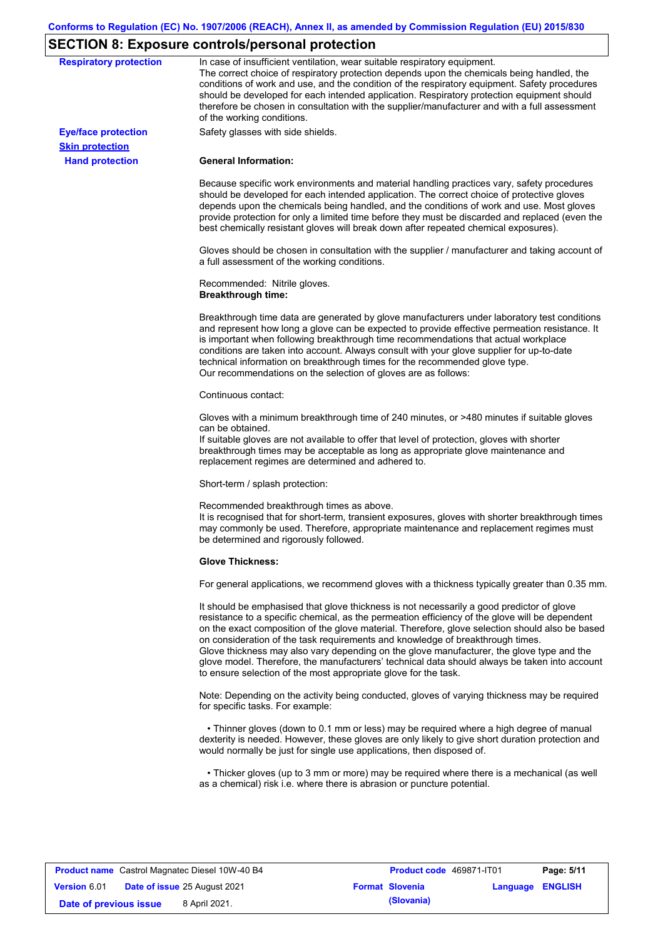# **SECTION 8: Exposure controls/personal protection**

| <b>Respiratory protection</b>                        | In case of insufficient ventilation, wear suitable respiratory equipment.<br>The correct choice of respiratory protection depends upon the chemicals being handled, the<br>conditions of work and use, and the condition of the respiratory equipment. Safety procedures<br>should be developed for each intended application. Respiratory protection equipment should<br>therefore be chosen in consultation with the supplier/manufacturer and with a full assessment<br>of the working conditions.                                                                                                                                             |
|------------------------------------------------------|---------------------------------------------------------------------------------------------------------------------------------------------------------------------------------------------------------------------------------------------------------------------------------------------------------------------------------------------------------------------------------------------------------------------------------------------------------------------------------------------------------------------------------------------------------------------------------------------------------------------------------------------------|
| <b>Eye/face protection</b><br><b>Skin protection</b> | Safety glasses with side shields.                                                                                                                                                                                                                                                                                                                                                                                                                                                                                                                                                                                                                 |
| <b>Hand protection</b>                               | <b>General Information:</b>                                                                                                                                                                                                                                                                                                                                                                                                                                                                                                                                                                                                                       |
|                                                      | Because specific work environments and material handling practices vary, safety procedures<br>should be developed for each intended application. The correct choice of protective gloves<br>depends upon the chemicals being handled, and the conditions of work and use. Most gloves<br>provide protection for only a limited time before they must be discarded and replaced (even the<br>best chemically resistant gloves will break down after repeated chemical exposures).                                                                                                                                                                  |
|                                                      | Gloves should be chosen in consultation with the supplier / manufacturer and taking account of<br>a full assessment of the working conditions.                                                                                                                                                                                                                                                                                                                                                                                                                                                                                                    |
|                                                      | Recommended: Nitrile gloves.<br><b>Breakthrough time:</b>                                                                                                                                                                                                                                                                                                                                                                                                                                                                                                                                                                                         |
|                                                      | Breakthrough time data are generated by glove manufacturers under laboratory test conditions<br>and represent how long a glove can be expected to provide effective permeation resistance. It<br>is important when following breakthrough time recommendations that actual workplace<br>conditions are taken into account. Always consult with your glove supplier for up-to-date<br>technical information on breakthrough times for the recommended glove type.<br>Our recommendations on the selection of gloves are as follows:                                                                                                                |
|                                                      | Continuous contact:                                                                                                                                                                                                                                                                                                                                                                                                                                                                                                                                                                                                                               |
|                                                      | Gloves with a minimum breakthrough time of 240 minutes, or >480 minutes if suitable gloves<br>can be obtained.<br>If suitable gloves are not available to offer that level of protection, gloves with shorter<br>breakthrough times may be acceptable as long as appropriate glove maintenance and<br>replacement regimes are determined and adhered to.                                                                                                                                                                                                                                                                                          |
|                                                      | Short-term / splash protection:                                                                                                                                                                                                                                                                                                                                                                                                                                                                                                                                                                                                                   |
|                                                      | Recommended breakthrough times as above.<br>It is recognised that for short-term, transient exposures, gloves with shorter breakthrough times<br>may commonly be used. Therefore, appropriate maintenance and replacement regimes must<br>be determined and rigorously followed.                                                                                                                                                                                                                                                                                                                                                                  |
|                                                      | <b>Glove Thickness:</b>                                                                                                                                                                                                                                                                                                                                                                                                                                                                                                                                                                                                                           |
|                                                      | For general applications, we recommend gloves with a thickness typically greater than 0.35 mm.                                                                                                                                                                                                                                                                                                                                                                                                                                                                                                                                                    |
|                                                      | It should be emphasised that glove thickness is not necessarily a good predictor of glove<br>resistance to a specific chemical, as the permeation efficiency of the glove will be dependent<br>on the exact composition of the glove material. Therefore, glove selection should also be based<br>on consideration of the task requirements and knowledge of breakthrough times.<br>Glove thickness may also vary depending on the glove manufacturer, the glove type and the<br>glove model. Therefore, the manufacturers' technical data should always be taken into account<br>to ensure selection of the most appropriate glove for the task. |
|                                                      | Note: Depending on the activity being conducted, gloves of varying thickness may be required<br>for specific tasks. For example:                                                                                                                                                                                                                                                                                                                                                                                                                                                                                                                  |
|                                                      | • Thinner gloves (down to 0.1 mm or less) may be required where a high degree of manual<br>dexterity is needed. However, these gloves are only likely to give short duration protection and<br>would normally be just for single use applications, then disposed of.                                                                                                                                                                                                                                                                                                                                                                              |
|                                                      |                                                                                                                                                                                                                                                                                                                                                                                                                                                                                                                                                                                                                                                   |

| <b>Product name</b> Castrol Magnatec Diesel 10W-40 B4      | Product code 469871-IT01 | Page: 5/11              |
|------------------------------------------------------------|--------------------------|-------------------------|
| <b>Date of issue 25 August 2021</b><br><b>Version 6.01</b> | <b>Format Slovenia</b>   | <b>Language ENGLISH</b> |
| 8 April 2021.<br>Date of previous issue                    | (Slovania)               |                         |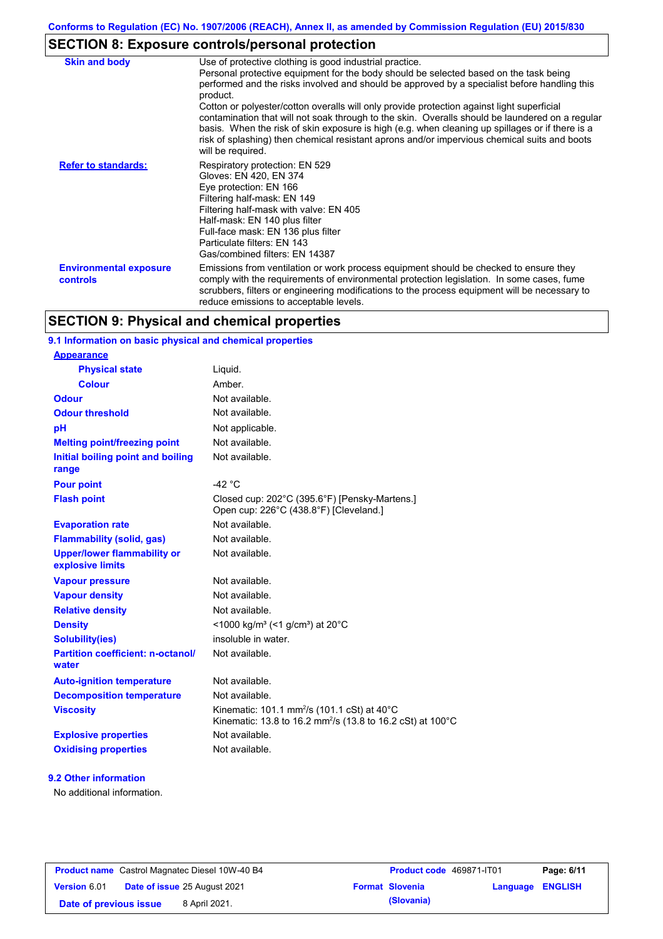# **SECTION 8: Exposure controls/personal protection**

| <b>Skin and body</b>                             | Use of protective clothing is good industrial practice.<br>Personal protective equipment for the body should be selected based on the task being<br>performed and the risks involved and should be approved by a specialist before handling this<br>product.<br>Cotton or polyester/cotton overalls will only provide protection against light superficial<br>contamination that will not soak through to the skin. Overalls should be laundered on a regular<br>basis. When the risk of skin exposure is high (e.g. when cleaning up spillages or if there is a<br>risk of splashing) then chemical resistant aprons and/or impervious chemical suits and boots<br>will be required. |
|--------------------------------------------------|---------------------------------------------------------------------------------------------------------------------------------------------------------------------------------------------------------------------------------------------------------------------------------------------------------------------------------------------------------------------------------------------------------------------------------------------------------------------------------------------------------------------------------------------------------------------------------------------------------------------------------------------------------------------------------------|
| <b>Refer to standards:</b>                       | Respiratory protection: EN 529<br>Gloves: EN 420, EN 374<br>Eye protection: EN 166<br>Filtering half-mask: EN 149<br>Filtering half-mask with valve: EN 405<br>Half-mask: EN 140 plus filter<br>Full-face mask: EN 136 plus filter<br>Particulate filters: EN 143<br>Gas/combined filters: EN 14387                                                                                                                                                                                                                                                                                                                                                                                   |
| <b>Environmental exposure</b><br><b>controls</b> | Emissions from ventilation or work process equipment should be checked to ensure they<br>comply with the requirements of environmental protection legislation. In some cases, fume<br>scrubbers, filters or engineering modifications to the process equipment will be necessary to<br>reduce emissions to acceptable levels.                                                                                                                                                                                                                                                                                                                                                         |

## **SECTION 9: Physical and chemical properties**

### **9.1 Information on basic physical and chemical properties**

| <b>Appearance</b>                                      |                                                                                                                                              |
|--------------------------------------------------------|----------------------------------------------------------------------------------------------------------------------------------------------|
| <b>Physical state</b>                                  | Liquid.                                                                                                                                      |
| <b>Colour</b>                                          | Amber.                                                                                                                                       |
| <b>Odour</b>                                           | Not available.                                                                                                                               |
| <b>Odour threshold</b>                                 | Not available.                                                                                                                               |
| рH                                                     | Not applicable.                                                                                                                              |
| <b>Melting point/freezing point</b>                    | Not available.                                                                                                                               |
| Initial boiling point and boiling<br>range             | Not available.                                                                                                                               |
| <b>Pour point</b>                                      | -42 $^{\circ}$ C                                                                                                                             |
| <b>Flash point</b>                                     | Closed cup: 202°C (395.6°F) [Pensky-Martens.]<br>Open cup: 226°C (438.8°F) [Cleveland.]                                                      |
| <b>Evaporation rate</b>                                | Not available.                                                                                                                               |
| <b>Flammability (solid, gas)</b>                       | Not available.                                                                                                                               |
| <b>Upper/lower flammability or</b><br>explosive limits | Not available.                                                                                                                               |
| <b>Vapour pressure</b>                                 | Not available.                                                                                                                               |
| <b>Vapour density</b>                                  | Not available.                                                                                                                               |
| <b>Relative density</b>                                | Not available.                                                                                                                               |
| <b>Density</b>                                         | <1000 kg/m <sup>3</sup> (<1 g/cm <sup>3</sup> ) at 20°C                                                                                      |
| <b>Solubility(ies)</b>                                 | insoluble in water.                                                                                                                          |
| <b>Partition coefficient: n-octanol/</b><br>water      | Not available.                                                                                                                               |
| <b>Auto-ignition temperature</b>                       | Not available.                                                                                                                               |
| <b>Decomposition temperature</b>                       | Not available.                                                                                                                               |
| <b>Viscosity</b>                                       | Kinematic: 101.1 mm <sup>2</sup> /s (101.1 cSt) at $40^{\circ}$ C<br>Kinematic: 13.8 to 16.2 mm <sup>2</sup> /s (13.8 to 16.2 cSt) at 100 °C |
| <b>Explosive properties</b>                            | Not available.                                                                                                                               |
| <b>Oxidising properties</b>                            | Not available.                                                                                                                               |

### **9.2 Other information**

No additional information.

| <b>Product name</b> Castrol Magnatec Diesel 10W-40 B4 |  |                                     | Product code 469871-IT01 |                        | Page: 6/11              |  |
|-------------------------------------------------------|--|-------------------------------------|--------------------------|------------------------|-------------------------|--|
| <b>Version 6.01</b>                                   |  | <b>Date of issue 25 August 2021</b> |                          | <b>Format Slovenia</b> | <b>Language ENGLISH</b> |  |
| Date of previous issue                                |  | 8 April 2021.                       |                          | (Slovania)             |                         |  |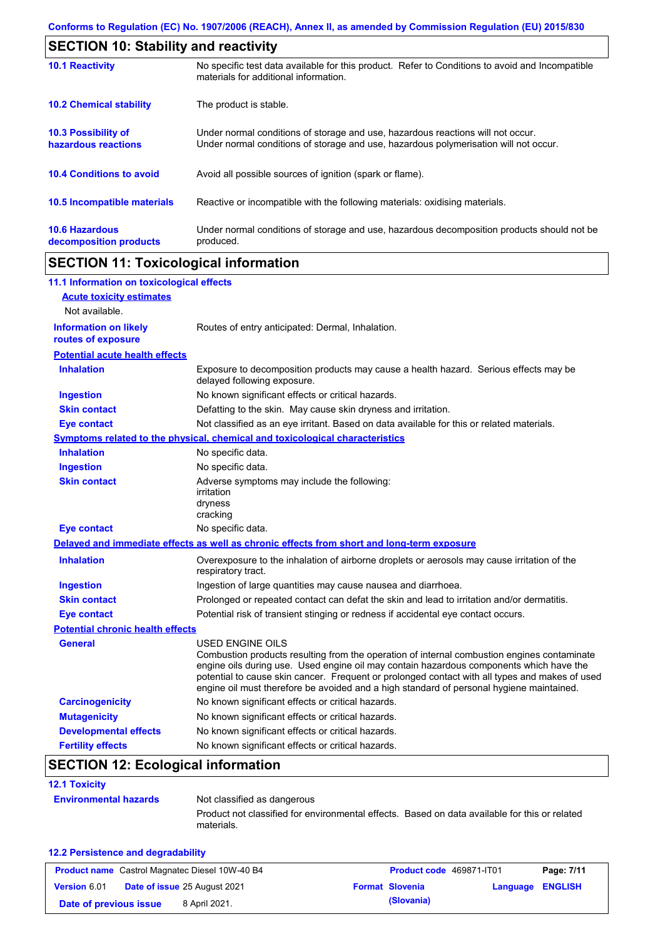| <b>SECTION 10: Stability and reactivity</b>       |                                                                                                                                                                         |  |  |  |
|---------------------------------------------------|-------------------------------------------------------------------------------------------------------------------------------------------------------------------------|--|--|--|
| <b>10.1 Reactivity</b>                            | No specific test data available for this product. Refer to Conditions to avoid and Incompatible<br>materials for additional information.                                |  |  |  |
| <b>10.2 Chemical stability</b>                    | The product is stable.                                                                                                                                                  |  |  |  |
| <b>10.3 Possibility of</b><br>hazardous reactions | Under normal conditions of storage and use, hazardous reactions will not occur.<br>Under normal conditions of storage and use, hazardous polymerisation will not occur. |  |  |  |
| <b>10.4 Conditions to avoid</b>                   | Avoid all possible sources of ignition (spark or flame).                                                                                                                |  |  |  |
| <b>10.5 Incompatible materials</b>                | Reactive or incompatible with the following materials: oxidising materials.                                                                                             |  |  |  |
| <b>10.6 Hazardous</b><br>decomposition products   | Under normal conditions of storage and use, hazardous decomposition products should not be<br>produced.                                                                 |  |  |  |

# **SECTION 11: Toxicological information**

| 11.1 Information on toxicological effects          |                                                                                                                                                                                                                                                                                                                                                                                                                 |
|----------------------------------------------------|-----------------------------------------------------------------------------------------------------------------------------------------------------------------------------------------------------------------------------------------------------------------------------------------------------------------------------------------------------------------------------------------------------------------|
| <b>Acute toxicity estimates</b>                    |                                                                                                                                                                                                                                                                                                                                                                                                                 |
| Not available.                                     |                                                                                                                                                                                                                                                                                                                                                                                                                 |
| <b>Information on likely</b><br>routes of exposure | Routes of entry anticipated: Dermal, Inhalation.                                                                                                                                                                                                                                                                                                                                                                |
| <b>Potential acute health effects</b>              |                                                                                                                                                                                                                                                                                                                                                                                                                 |
| <b>Inhalation</b>                                  | Exposure to decomposition products may cause a health hazard. Serious effects may be<br>delayed following exposure.                                                                                                                                                                                                                                                                                             |
| <b>Ingestion</b>                                   | No known significant effects or critical hazards.                                                                                                                                                                                                                                                                                                                                                               |
| <b>Skin contact</b>                                | Defatting to the skin. May cause skin dryness and irritation.                                                                                                                                                                                                                                                                                                                                                   |
| <b>Eye contact</b>                                 | Not classified as an eye irritant. Based on data available for this or related materials.                                                                                                                                                                                                                                                                                                                       |
|                                                    | Symptoms related to the physical, chemical and toxicological characteristics                                                                                                                                                                                                                                                                                                                                    |
| <b>Inhalation</b>                                  | No specific data.                                                                                                                                                                                                                                                                                                                                                                                               |
| <b>Ingestion</b>                                   | No specific data.                                                                                                                                                                                                                                                                                                                                                                                               |
| <b>Skin contact</b>                                | Adverse symptoms may include the following:<br>irritation<br>dryness<br>cracking                                                                                                                                                                                                                                                                                                                                |
| <b>Eye contact</b>                                 | No specific data.                                                                                                                                                                                                                                                                                                                                                                                               |
|                                                    | Delayed and immediate effects as well as chronic effects from short and long-term exposure                                                                                                                                                                                                                                                                                                                      |
| <b>Inhalation</b>                                  | Overexposure to the inhalation of airborne droplets or aerosols may cause irritation of the<br>respiratory tract.                                                                                                                                                                                                                                                                                               |
| <b>Ingestion</b>                                   | Ingestion of large quantities may cause nausea and diarrhoea.                                                                                                                                                                                                                                                                                                                                                   |
| <b>Skin contact</b>                                | Prolonged or repeated contact can defat the skin and lead to irritation and/or dermatitis.                                                                                                                                                                                                                                                                                                                      |
| <b>Eye contact</b>                                 | Potential risk of transient stinging or redness if accidental eye contact occurs.                                                                                                                                                                                                                                                                                                                               |
| <b>Potential chronic health effects</b>            |                                                                                                                                                                                                                                                                                                                                                                                                                 |
| <b>General</b>                                     | <b>USED ENGINE OILS</b><br>Combustion products resulting from the operation of internal combustion engines contaminate<br>engine oils during use. Used engine oil may contain hazardous components which have the<br>potential to cause skin cancer. Frequent or prolonged contact with all types and makes of used<br>engine oil must therefore be avoided and a high standard of personal hygiene maintained. |
| <b>Carcinogenicity</b>                             | No known significant effects or critical hazards.                                                                                                                                                                                                                                                                                                                                                               |
| <b>Mutagenicity</b>                                | No known significant effects or critical hazards.                                                                                                                                                                                                                                                                                                                                                               |
| <b>Developmental effects</b>                       | No known significant effects or critical hazards.                                                                                                                                                                                                                                                                                                                                                               |
| <b>Fertility effects</b>                           | No known significant effects or critical hazards.                                                                                                                                                                                                                                                                                                                                                               |

# **SECTION 12: Ecological information**

| <b>12.1 Toxicity</b>         |                                                                                                             |  |
|------------------------------|-------------------------------------------------------------------------------------------------------------|--|
| <b>Environmental hazards</b> | Not classified as dangerous                                                                                 |  |
|                              | Product not classified for environmental effects. Based on data available for this or related<br>materials. |  |

### **12.2 Persistence and degradability**

| <b>Product name</b> Castrol Magnatec Diesel 10W-40 B4 |  |                                     | <b>Product code</b> 469871-IT01 |                        | Page: 7/11              |  |
|-------------------------------------------------------|--|-------------------------------------|---------------------------------|------------------------|-------------------------|--|
| <b>Version 6.01</b>                                   |  | <b>Date of issue 25 August 2021</b> |                                 | <b>Format Slovenia</b> | <b>Language ENGLISH</b> |  |
| Date of previous issue                                |  | 8 April 2021.                       |                                 | (Slovania)             |                         |  |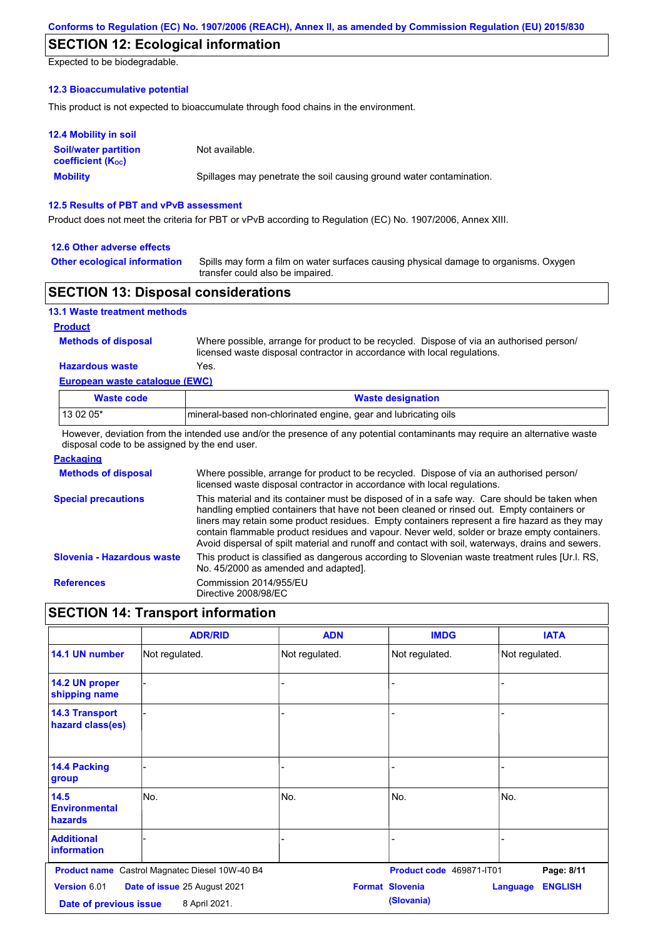## **SECTION 12: Ecological information**

Expected to be biodegradable.

### **12.3 Bioaccumulative potential**

This product is not expected to bioaccumulate through food chains in the environment.

| <b>12.4 Mobility in soil</b>                            |                                                                      |
|---------------------------------------------------------|----------------------------------------------------------------------|
| <b>Soil/water partition</b><br><b>coefficient (Koc)</b> | Not available.                                                       |
| <b>Mobility</b>                                         | Spillages may penetrate the soil causing ground water contamination. |

### **12.5 Results of PBT and vPvB assessment**

Product does not meet the criteria for PBT or vPvB according to Regulation (EC) No. 1907/2006, Annex XIII.

#### **12.6 Other adverse effects**

**Other ecological information**

Spills may form a film on water surfaces causing physical damage to organisms. Oxygen transfer could also be impaired.

### **SECTION 13: Disposal considerations**

| <b>13.1 Waste treatment methods</b> |                    |
|-------------------------------------|--------------------|
| <b>Product</b>                      |                    |
| <b>Methods of disposal</b>          | Where              |
|                                     | I <sub>nonon</sub> |

**Hazardous waste** Yes. possible, arrange for product to be recycled. Dispose of via an authorised person/ licensed waste disposal contractor in accordance with local regulations.

## **European waste catalogue (EWC)**

| <b>Waste code</b> | <b>Waste designation</b>                                        |
|-------------------|-----------------------------------------------------------------|
| l 13 02 05*       | mineral-based non-chlorinated engine, gear and lubricating oils |

However, deviation from the intended use and/or the presence of any potential contaminants may require an alternative waste disposal code to be assigned by the end user.

### **Packaging**

| <b>Methods of disposal</b> | Where possible, arrange for product to be recycled. Dispose of via an authorised person/<br>licensed waste disposal contractor in accordance with local regulations.                                                                                                                                                                                                                                                                                                                            |
|----------------------------|-------------------------------------------------------------------------------------------------------------------------------------------------------------------------------------------------------------------------------------------------------------------------------------------------------------------------------------------------------------------------------------------------------------------------------------------------------------------------------------------------|
| <b>Special precautions</b> | This material and its container must be disposed of in a safe way. Care should be taken when<br>handling emptied containers that have not been cleaned or rinsed out. Empty containers or<br>liners may retain some product residues. Empty containers represent a fire hazard as they may<br>contain flammable product residues and vapour. Never weld, solder or braze empty containers.<br>Avoid dispersal of spilt material and runoff and contact with soil, waterways, drains and sewers. |
| Slovenia - Hazardous waste | This product is classified as dangerous according to Slovenian waste treatment rules [Ur.l. RS.<br>No. 45/2000 as amended and adapted.                                                                                                                                                                                                                                                                                                                                                          |
| <b>References</b>          | Commission 2014/955/EU<br>Directive 2008/98/EC                                                                                                                                                                                                                                                                                                                                                                                                                                                  |

### **SECTION 14: Transport information**

|                                           | <b>ADR/RID</b>                                 | <b>ADN</b>     | <b>IMDG</b>                          | <b>IATA</b>                       |  |
|-------------------------------------------|------------------------------------------------|----------------|--------------------------------------|-----------------------------------|--|
| 14.1 UN number                            | Not regulated.                                 | Not regulated. | Not regulated.                       | Not regulated.                    |  |
| 14.2 UN proper<br>shipping name           |                                                |                |                                      |                                   |  |
| <b>14.3 Transport</b><br>hazard class(es) |                                                |                |                                      |                                   |  |
| <b>14.4 Packing</b><br>group              |                                                |                |                                      |                                   |  |
| 14.5<br><b>Environmental</b><br>hazards   | lNo.                                           | No.            | No.                                  | No.                               |  |
| <b>Additional</b><br><b>information</b>   |                                                |                |                                      |                                   |  |
|                                           | Product name Castrol Magnatec Diesel 10W-40 B4 |                | Product code 469871-IT01             | Page: 8/11                        |  |
| Version 6.01<br>Date of previous issue    | Date of issue 25 August 2021<br>8 April 2021.  |                | <b>Format Slovenia</b><br>(Slovania) | <b>ENGLISH</b><br><b>Language</b> |  |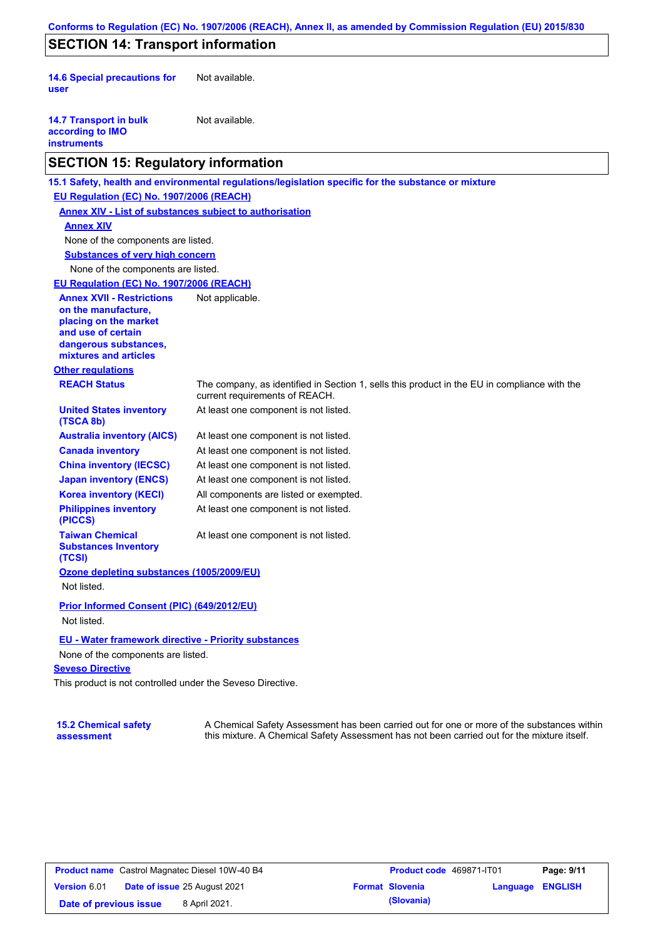## **SECTION 14: Transport information**

**14.6 Special precautions for user** Not available.

| <b>14.7 Transport in bulk</b> | Not available. |
|-------------------------------|----------------|
| according to IMO              |                |
| instruments                   |                |

### **SECTION 15: Regulatory information**

**Other regulations REACH Status** The company, as identified in Section 1, sells this product in the EU in compliance with the current requirements of REACH. **15.1 Safety, health and environmental regulations/legislation specific for the substance or mixture EU Regulation (EC) No. 1907/2006 (REACH) Annex XIV - List of substances subject to authorisation Substances of very high concern** None of the components are listed. At least one component is not listed. At least one component is not listed. At least one component is not listed. At least one component is not listed. At least one component is not listed. All components are listed or exempted. At least one component is not listed. **United States inventory (TSCA 8b) Australia inventory (AICS) Canada inventory China inventory (IECSC) Japan inventory (ENCS) Korea inventory (KECI) Philippines inventory (PICCS) Taiwan Chemical Substances Inventory (TCSI)** At least one component is not listed. **Ozone depleting substances (1005/2009/EU)** Not listed. **Prior Informed Consent (PIC) (649/2012/EU)** Not listed. None of the components are listed. **Annex XIV EU - Water framework directive - Priority substances** None of the components are listed. **EU Regulation (EC) No. 1907/2006 (REACH) Annex XVII - Restrictions on the manufacture, placing on the market and use of certain dangerous substances, mixtures and articles** Not applicable.

### **Seveso Directive**

This product is not controlled under the Seveso Directive.

#### **15.2 Chemical safety assessment**

A Chemical Safety Assessment has been carried out for one or more of the substances within this mixture. A Chemical Safety Assessment has not been carried out for the mixture itself.

|                        | <b>Product name</b> Castrol Magnatec Diesel 10W-40 B4 | <b>Product code</b>    |
|------------------------|-------------------------------------------------------|------------------------|
| <b>Version 6.01</b>    | <b>Date of issue 25 August 2021</b>                   | <b>Format Slovenia</b> |
| Date of previous issue | 8 April 2021.                                         | (Slovania)             |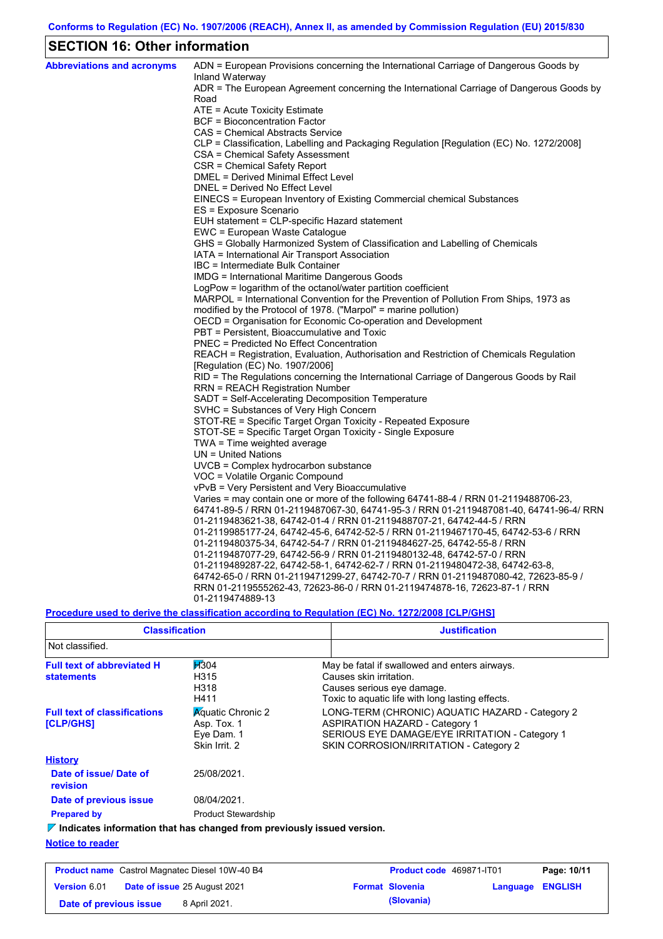## **SECTION 16: Other information**

| <b>Abbreviations and acronyms</b> | ADN = European Provisions concerning the International Carriage of Dangerous Goods by<br>Inland Waterway       |
|-----------------------------------|----------------------------------------------------------------------------------------------------------------|
|                                   | ADR = The European Agreement concerning the International Carriage of Dangerous Goods by                       |
|                                   | Road                                                                                                           |
|                                   | ATE = Acute Toxicity Estimate                                                                                  |
|                                   | BCF = Bioconcentration Factor                                                                                  |
|                                   | CAS = Chemical Abstracts Service                                                                               |
|                                   | CLP = Classification, Labelling and Packaging Regulation [Regulation (EC) No. 1272/2008]                       |
|                                   | CSA = Chemical Safety Assessment                                                                               |
|                                   | CSR = Chemical Safety Report                                                                                   |
|                                   | DMEL = Derived Minimal Effect Level                                                                            |
|                                   | DNEL = Derived No Effect Level                                                                                 |
|                                   | EINECS = European Inventory of Existing Commercial chemical Substances                                         |
|                                   | ES = Exposure Scenario                                                                                         |
|                                   | EUH statement = CLP-specific Hazard statement                                                                  |
|                                   | EWC = European Waste Catalogue                                                                                 |
|                                   | GHS = Globally Harmonized System of Classification and Labelling of Chemicals                                  |
|                                   | IATA = International Air Transport Association                                                                 |
|                                   | IBC = Intermediate Bulk Container                                                                              |
|                                   | IMDG = International Maritime Dangerous Goods<br>LogPow = logarithm of the octanol/water partition coefficient |
|                                   | MARPOL = International Convention for the Prevention of Pollution From Ships, 1973 as                          |
|                                   | modified by the Protocol of 1978. ("Marpol" = marine pollution)                                                |
|                                   | OECD = Organisation for Economic Co-operation and Development                                                  |
|                                   | PBT = Persistent, Bioaccumulative and Toxic                                                                    |
|                                   | <b>PNEC = Predicted No Effect Concentration</b>                                                                |
|                                   | REACH = Registration, Evaluation, Authorisation and Restriction of Chemicals Regulation                        |
|                                   | [Regulation (EC) No. 1907/2006]                                                                                |
|                                   | RID = The Regulations concerning the International Carriage of Dangerous Goods by Rail                         |
|                                   | RRN = REACH Registration Number                                                                                |
|                                   | SADT = Self-Accelerating Decomposition Temperature                                                             |
|                                   | SVHC = Substances of Very High Concern                                                                         |
|                                   | STOT-RE = Specific Target Organ Toxicity - Repeated Exposure                                                   |
|                                   | STOT-SE = Specific Target Organ Toxicity - Single Exposure                                                     |
|                                   | TWA = Time weighted average                                                                                    |
|                                   | $UN = United Nations$                                                                                          |
|                                   | UVCB = Complex hydrocarbon substance                                                                           |
|                                   | VOC = Volatile Organic Compound                                                                                |
|                                   | vPvB = Very Persistent and Very Bioaccumulative                                                                |
|                                   | Varies = may contain one or more of the following 64741-88-4 / RRN 01-2119488706-23,                           |
|                                   | 64741-89-5 / RRN 01-2119487067-30, 64741-95-3 / RRN 01-2119487081-40, 64741-96-4/ RRN                          |
|                                   | 01-2119483621-38, 64742-01-4 / RRN 01-2119488707-21, 64742-44-5 / RRN                                          |
|                                   | 01-2119985177-24, 64742-45-6, 64742-52-5 / RRN 01-2119467170-45, 64742-53-6 / RRN                              |
|                                   | 01-2119480375-34, 64742-54-7 / RRN 01-2119484627-25, 64742-55-8 / RRN                                          |
|                                   | 01-2119487077-29, 64742-56-9 / RRN 01-2119480132-48, 64742-57-0 / RRN                                          |
|                                   | .01-2119489287-22, 64742-58-1, 64742-62-7 / RRN 01-2119480472-38, 64742-63-8                                   |
|                                   | 64742-65-0 / RRN 01-2119471299-27, 64742-70-7 / RRN 01-2119487080-42, 72623-85-9 /                             |
|                                   | RRN 01-2119555262-43, 72623-86-0 / RRN 01-2119474878-16, 72623-87-1 / RRN                                      |
|                                   | 01-2119474889-13                                                                                               |

## **Procedure used to derive the classification according to Regulation (EC) No. 1272/2008 [CLP/GHS]**

| <b>Classification</b>                                                                  |                                                                        | <b>Justification</b>                                                                                                                                                                 |
|----------------------------------------------------------------------------------------|------------------------------------------------------------------------|--------------------------------------------------------------------------------------------------------------------------------------------------------------------------------------|
| Not classified.                                                                        |                                                                        |                                                                                                                                                                                      |
| <b>Full text of abbreviated H</b><br><b>statements</b>                                 | $\cancel{11}304$<br>H315<br>H318<br>H411                               | May be fatal if swallowed and enters airways.<br>Causes skin irritation.<br>Causes serious eye damage.<br>Toxic to aguatic life with long lasting effects.                           |
| <b>Full text of classifications</b><br><b>[CLP/GHS]</b>                                | <b>Aquatic Chronic 2</b><br>Asp. Tox. 1<br>Eve Dam. 1<br>Skin Irrit, 2 | LONG-TERM (CHRONIC) AQUATIC HAZARD - Category 2<br><b>ASPIRATION HAZARD - Category 1</b><br>SERIOUS EYE DAMAGE/EYE IRRITATION - Category 1<br>SKIN CORROSION/IRRITATION - Category 2 |
| <b>History</b>                                                                         |                                                                        |                                                                                                                                                                                      |
| Date of issue/Date of<br>revision                                                      | 25/08/2021.                                                            |                                                                                                                                                                                      |
| Date of previous issue                                                                 | 08/04/2021.                                                            |                                                                                                                                                                                      |
| <b>Prepared by</b>                                                                     | <b>Product Stewardship</b>                                             |                                                                                                                                                                                      |
| $\triangledown$ Indicates information that has changed from previously issued version. |                                                                        |                                                                                                                                                                                      |
| <b>Notice to reader</b>                                                                |                                                                        |                                                                                                                                                                                      |

| <b>Product name</b> Castrol Magnatec Diesel 10W-40 B4 |  | <b>Product code</b> 469871-IT01     |  | Page: 10/11            |                         |  |
|-------------------------------------------------------|--|-------------------------------------|--|------------------------|-------------------------|--|
| Version 6.01                                          |  | <b>Date of issue 25 August 2021</b> |  | <b>Format Slovenia</b> | <b>Language ENGLISH</b> |  |
| Date of previous issue                                |  | 8 April 2021.                       |  | (Slovania)             |                         |  |